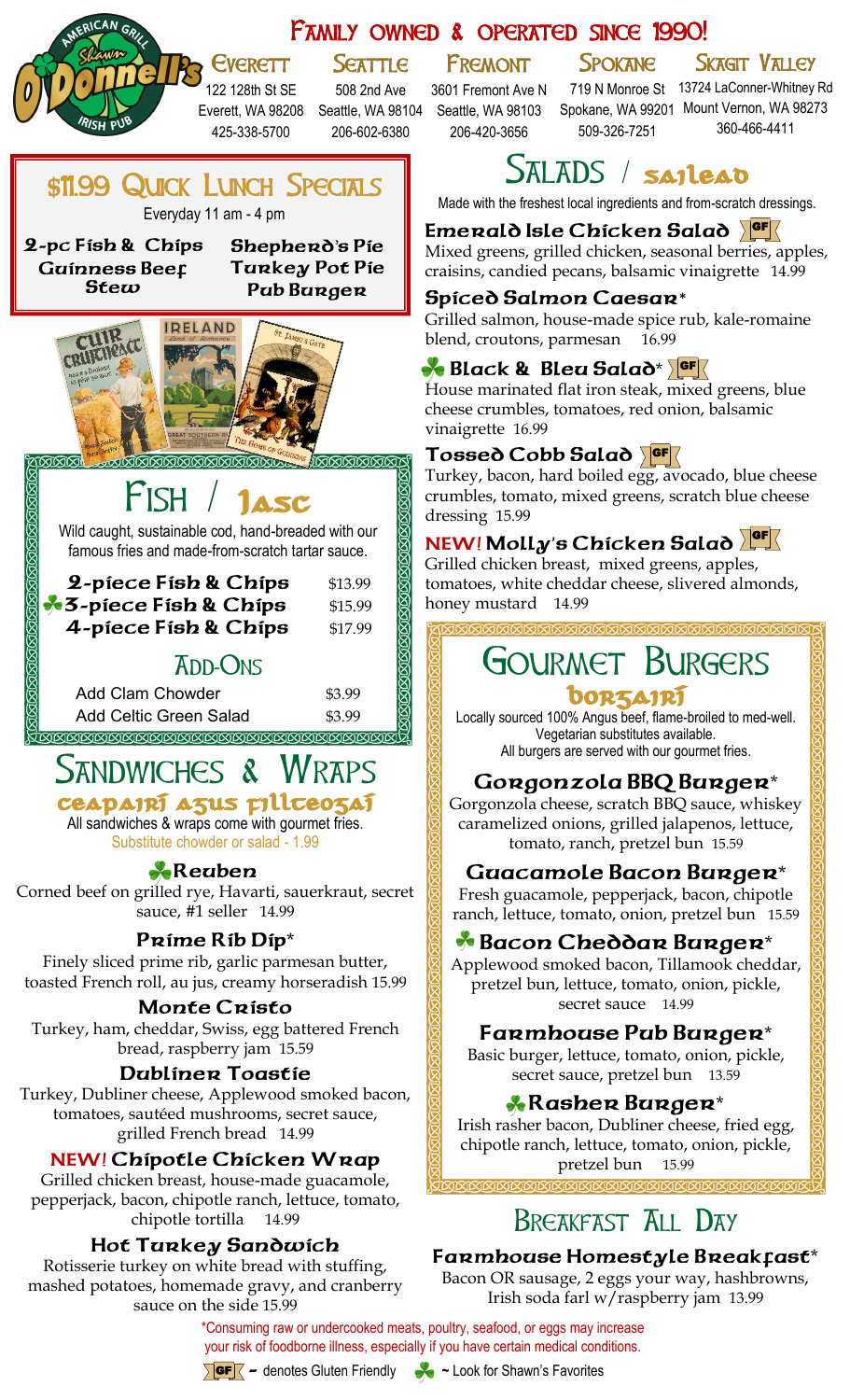#### Family owned & operated since 1990! **SEATTLE** Fremont **SPOKANE** SKAGIT VALLEY **EVERETT** 122 128th St SE 508 2nd Ave 3601 Fremont Ave N 719 N Monroe St 13724 LaConner-Whitney Rd Spokane, WA 99201 Mount Vernon, WA 98273 Everett, WA 98208 Seattle, WA 98104 Seattle, WA 98103 509-326-7251 360-466-4411 425-338-5700 206-602-6380 206-420-3656 SALADS / sailead \$11.99 QUICK LUNCH SPECIALS Made with the freshest local ingredients and from-scratch dressings. Everyday 11 am - 4 pm **Emerald Isle Chicken Salad**  GF **2-pc Fish & Chips Shepherd**'**s Pie** Mixed greens, grilled chicken, seasonal berries, apples, **Guinness Beef Turkey Pot Pie** craisins, candied pecans, balsamic vinaigrette 14.99 **Stew Pub Burger Spiced Salmon Caesar**\* Grilled salmon, house-made spice rub, kale-romaine **IRELAND** blend, croutons, parmesan 16.99 **Black & Bleu Salad\* GF** House marinated flat iron steak, mixed greens, blue cheese crumbles, tomatoes, red onion, balsamic vinaigrette 16.99 Tossed Cobb Salad Turkey, bacon, hard boiled egg, avocado, blue cheese **FISH** crumbles, tomato, mixed greens, scratch blue cheese dressing 15.99 Wild caught, sustainable cod, hand-breaded with our **NEW! Molly**'**s Chicken Salad**  GF famous fries and made-from-scratch tartar sauce. Grilled chicken breast, mixed greens, apples, **2-piece Fish & Chips** \$13.99 tomatoes, white cheddar cheese, slivered almonds, **3-piece Fish & Chips** \$15.99 honey mustard 14.99 **4-piece Fish & Chips** \$17.99 Gourmet Burgers **ADD-ONS** Add Clam Chowder \$3.99 borzairí Add Celtic Green Salad \$3.99 Locally sourced 100% Angus beef, flame-broiled to med-well. Vegetarian substitutes available. All burgers are served with our gourmet fries. SANDWICHES & **Gorgonzola BBQ Burger**\* ceapairí agus fillteogaí Gorgonzola cheese, scratch BBQ sauce, whiskey All sandwiches & wraps come with gourmet fries. caramelized onions, grilled jalapenos, lettuce, Substitute chowder or salad - 1.99 tomato, ranch, pretzel bun 15.59 **Reuben Guacamole Bacon Burger**\* Corned beef on grilled rye, Havarti, sauerkraut, secret Fresh guacamole, pepperjack, bacon, chipotle sauce, #1 seller 14.99 ranch, lettuce, tomato, onion, pretzel bun 15.59 **Prime Rib Dip**\* **Bacon Cheddar Burger**\* Finely sliced prime rib, garlic parmesan butter, Applewood smoked bacon, Tillamook cheddar, toasted French roll, au jus, creamy horseradish 15.99 pretzel bun, lettuce, tomato, onion, pickle, secret sauce 14.99 **Monte Cristo** Turkey, ham, cheddar, Swiss, egg battered French **Farmhouse Pub Burger**\* bread, raspberry jam 15.59 Basic burger, lettuce, tomato, onion, pickle, **Dubliner Toastie** secret sauce, pretzel bun 13.59 Turkey, Dubliner cheese, Applewood smoked bacon, **Rasher Burger**\* tomatoes, sautéed mushrooms, secret sauce, Irish rasher bacon, Dubliner cheese, fried egg, grilled French bread 14.99 chipotle ranch, lettuce, tomato, onion, pickle, **NEW! Chipotle Chicken Wrap** pretzel bun 15.99 Grilled chicken breast, house-made guacamole, pepperjack, bacon, chipotle ranch, lettuce, tomato, chipotle tortilla 14.99

#### **Hot Turkey Sandwich**

Rotisserie turkey on white bread with stuffing, mashed potatoes, homemade gravy, and cranberry sauce on the side 15.99

## BREAKFAST ALL DAY

#### **Farmhouse Homestyle Breakfast**\*

Bacon OR sausage, 2 eggs your way, hashbrowns, Irish soda farl w/raspberry jam 13.99

\*Consuming raw or undercooked meats, poultry, seafood, or eggs may increase your risk of foodborne illness, especially if you have certain medical conditions.